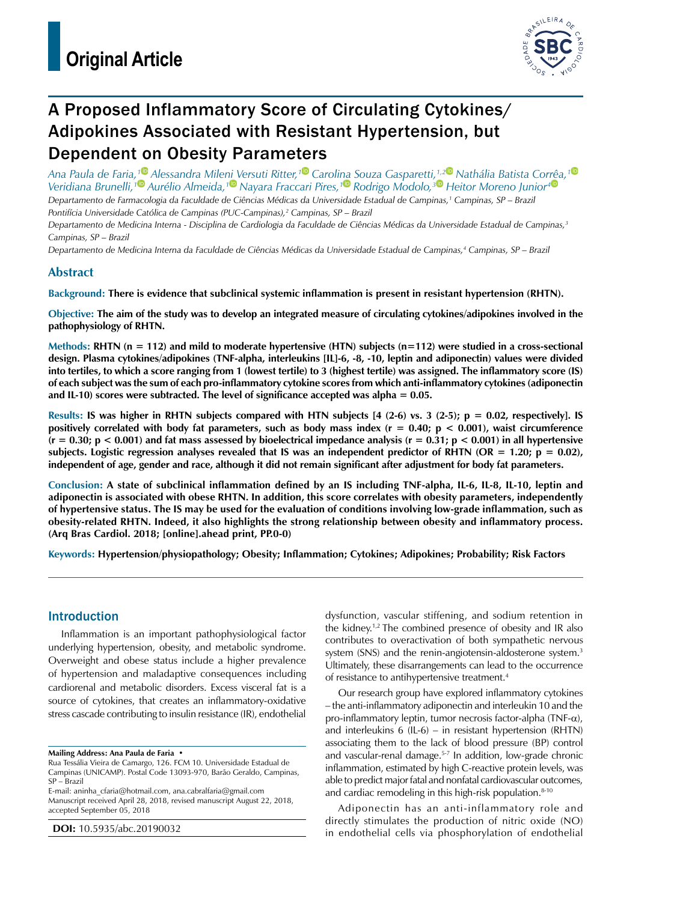

# A Proposed Inflammatory Score of Circulating Cytokines/ Adipokines Associated with Resistant Hypertension, but Dependent on Obesity Parameters

*Ana Paula de Faria,[1](https://orcid.org/0000-0001-8585-7238) Alessandra Mileni Versuti Ritter,[1](https://orcid.org/0000-0002-4434-4791) Carolina Souza Gasparetti,1,[2](https://orcid.org/0000-0003-0160-5776) Nathália Batista Co[rrêa](https://orcid.org/0000-0001-6330-697X),[1](https://orcid.org/0000-0003-4668-966X) Veridiana Brunelli,[1](https://orcid.org/0000-0001-9612-8241) Aurélio Almeida,[1](https://orcid.org/0000-0001-6579-9456) Nayara Fraccari Pires,[1](https://orcid.org/0000-0003-1819-6219) Rodrigo Modolo,[3](https://orcid.org/0000-0002-0047-7859) Heitor Moreno Junior4 Departamento de Farmacologia da Faculdade de Ciências Médicas da Universidade Estadual de Campinas,1 Campinas, SP – Brazil*

*Pontifícia Universidade Católica de Campinas (PUC-Campinas),2 Campinas, SP – Brazil*

*Departamento de Medicina Interna - Disciplina de Cardiologia da Faculdade de Ciências Médicas da Universidade Estadual de Campinas,3 Campinas, SP – Brazil*

*Departamento de Medicina Interna da Faculdade de Ciências Médicas da Universidade Estadual de Campinas,4 Campinas, SP – Brazil*

## **Abstract**

### **Background: There is evidence that subclinical systemic inflammation is present in resistant hypertension (RHTN).**

**Objective: The aim of the study was to develop an integrated measure of circulating cytokines/adipokines involved in the pathophysiology of RHTN.**

**Methods: RHTN (n = 112) and mild to moderate hypertensive (HTN) subjects (n=112) were studied in a cross-sectional design. Plasma cytokines/adipokines (TNF-alpha, interleukins [IL]-6, -8, -10, leptin and adiponectin) values were divided into tertiles, to which a score ranging from 1 (lowest tertile) to 3 (highest tertile) was assigned. The inflammatory score (IS) of each subject was the sum of each pro-inflammatory cytokine scores from which anti-inflammatory cytokines (adiponectin and IL-10) scores were subtracted. The level of significance accepted was alpha = 0.05.**

**Results: IS was higher in RHTN subjects compared with HTN subjects [4 (2-6) vs. 3 (2-5); p = 0.02, respectively]. IS positively correlated with body fat parameters, such as body mass index (r = 0.40; p < 0.001), waist circumference**   $(r = 0.30; p < 0.001)$  and fat mass assessed by bioelectrical impedance analysis  $(r = 0.31; p < 0.001)$  in all hypertensive **subjects. Logistic regression analyses revealed that IS was an independent predictor of RHTN (OR = 1.20; p = 0.02), independent of age, gender and race, although it did not remain significant after adjustment for body fat parameters.**

**Conclusion: A state of subclinical inflammation defined by an IS including TNF-alpha, IL-6, IL-8, IL-10, leptin and adiponectin is associated with obese RHTN. In addition, this score correlates with obesity parameters, independently of hypertensive status. The IS may be used for the evaluation of conditions involving low-grade inflammation, such as obesity-related RHTN. Indeed, it also highlights the strong relationship between obesity and inflammatory process. (Arq Bras Cardiol. 2018; [online].ahead print, PP.0-0)**

**Keywords: Hypertension/physiopathology; Obesity; Inflammation; Cytokines; Adipokines; Probability; Risk Factors**

## Introduction

Inflammation is an important pathophysiological factor underlying hypertension, obesity, and metabolic syndrome. Overweight and obese status include a higher prevalence of hypertension and maladaptive consequences including cardiorenal and metabolic disorders. Excess visceral fat is a source of cytokines, that creates an inflammatory-oxidative stress cascade contributing to insulin resistance (IR), endothelial

Rua Tessália Vieira de Camargo, 126. FCM 10. Universidade Estadual de Campinas (UNICAMP). Postal Code 13093-970, Barão Geraldo, Campinas, SP – Brazil

E-mail: [aninha\\_cfaria@hotmail.com](mailto:aninha_cfaria@hotmail.com), [ana.cabralfaria@gmail.com](mailto:ana.cabralfaria@gmail.com)

Manuscript received April 28, 2018, revised manuscript August 22, 2018, accepted September 05, 2018

**DOI:** 10.5935/abc.20190032

dysfunction, vascular stiffening, and sodium retention in the kidney.1,2 The combined presence of obesity and IR also contributes to overactivation of both sympathetic nervous system (SNS) and the renin-angiotensin-aldosterone system.<sup>3</sup> Ultimately, these disarrangements can lead to the occurrence of resistance to antihypertensive treatment.4

Our research group have explored inflammatory cytokines – the anti-inflammatory adiponectin and interleukin 10 and the pro-inflammatory leptin, tumor necrosis factor-alpha (TNF-α), and interleukins 6 (IL-6) – in resistant hypertension (RHTN) associating them to the lack of blood pressure (BP) control and vascular-renal damage.<sup>5-7</sup> In addition, low-grade chronic inflammation, estimated by high C-reactive protein levels, was able to predict major fatal and nonfatal cardiovascular outcomes, and cardiac remodeling in this high-risk population.<sup>8-10</sup>

Adiponectin has an anti-inflammatory role and directly stimulates the production of nitric oxide (NO) in endothelial cells via phosphorylation of endothelial

**Mailing Address: Ana Paula de Faria •**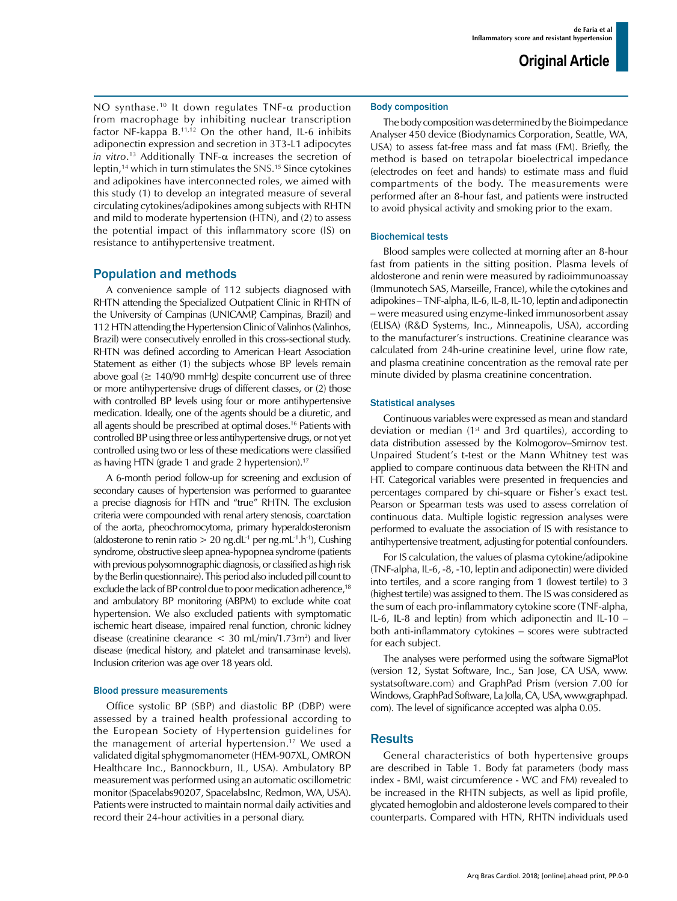NO synthase.<sup>10</sup> It down regulates TNF- $\alpha$  production from macrophage by inhibiting nuclear transcription factor NF-kappa B.11,12 On the other hand, IL-6 inhibits adiponectin expression and secretion in 3T3-L1 adipocytes *in vitro*. 13 Additionally TNF-α increases the secretion of leptin,<sup>14</sup> which in turn stimulates the SNS.<sup>15</sup> Since cytokines and adipokines have interconnected roles, we aimed with this study (1) to develop an integrated measure of several circulating cytokines/adipokines among subjects with RHTN and mild to moderate hypertension (HTN), and (2) to assess the potential impact of this inflammatory score (IS) on resistance to antihypertensive treatment.

### Population and methods

A convenience sample of 112 subjects diagnosed with RHTN attending the Specialized Outpatient Clinic in RHTN of the University of Campinas (UNICAMP, Campinas, Brazil) and 112HTN attending the Hypertension Clinic of Valinhos (Valinhos, Brazil) were consecutively enrolled in this cross-sectional study. RHTN was defined according to American Heart Association Statement as either (1) the subjects whose BP levels remain above goal  $(\geq 140/90 \text{ mmHg})$  despite concurrent use of three or more antihypertensive drugs of different classes, or (2) those with controlled BP levels using four or more antihypertensive medication. Ideally, one of the agents should be a diuretic, and all agents should be prescribed at optimal doses.16 Patients with controlled BP using three or less antihypertensive drugs, or not yet controlled using two or less of these medications were classified as having HTN (grade 1 and grade 2 hypertension).17

A 6-month period follow-up for screening and exclusion of secondary causes of hypertension was performed to guarantee a precise diagnosis for HTN and "true" RHTN. The exclusion criteria were compounded with renal artery stenosis, coarctation of the aorta, pheochromocytoma, primary hyperaldosteronism (aldosterone to renin ratio  $> 20$  ng.dL<sup>-1</sup> per ng.mL<sup>-1</sup>.h<sup>-1</sup>), Cushing syndrome, obstructive sleep apnea-hypopnea syndrome (patients with previous polysomnographic diagnosis, or classified as high risk by the Berlin questionnaire). This period also included pill count to exclude the lack of BP control due to poor medication adherence,<sup>18</sup> and ambulatory BP monitoring (ABPM) to exclude white coat hypertension. We also excluded patients with symptomatic ischemic heart disease, impaired renal function, chronic kidney disease (creatinine clearance  $<$  30 mL/min/1.73m<sup>2</sup>) and liver disease (medical history, and platelet and transaminase levels). Inclusion criterion was age over 18 years old.

#### Blood pressure measurements

Office systolic BP (SBP) and diastolic BP (DBP) were assessed by a trained health professional according to the European Society of Hypertension guidelines for the management of arterial hypertension.17 We used a validated digital sphygmomanometer (HEM-907XL, OMRON Healthcare Inc., Bannockburn, IL, USA). Ambulatory BP measurement was performed using an automatic oscillometric monitor (Spacelabs90207, SpacelabsInc, Redmon, WA, USA). Patients were instructed to maintain normal daily activities and record their 24-hour activities in a personal diary.

#### Body composition

The body composition was determined by the Bioimpedance Analyser 450 device (Biodynamics Corporation, Seattle, WA, USA) to assess fat-free mass and fat mass (FM). Briefly, the method is based on tetrapolar bioelectrical impedance (electrodes on feet and hands) to estimate mass and fluid compartments of the body. The measurements were performed after an 8-hour fast, and patients were instructed to avoid physical activity and smoking prior to the exam.

#### Biochemical tests

Blood samples were collected at morning after an 8-hour fast from patients in the sitting position. Plasma levels of aldosterone and renin were measured by radioimmunoassay (Immunotech SAS, Marseille, France), while the cytokines and adipokines – TNF-alpha, IL-6, IL-8, IL-10, leptin and adiponectin – were measured using enzyme-linked immunosorbent assay (ELISA) (R&D Systems, Inc., Minneapolis, USA), according to the manufacturer's instructions. Creatinine clearance was calculated from 24h-urine creatinine level, urine flow rate, and plasma creatinine concentration as the removal rate per minute divided by plasma creatinine concentration.

#### Statistical analyses

Continuous variables were expressed as mean and standard deviation or median ( $1<sup>st</sup>$  and 3rd quartiles), according to data distribution assessed by the Kolmogorov–Smirnov test. Unpaired Student's t-test or the Mann Whitney test was applied to compare continuous data between the RHTN and HT. Categorical variables were presented in frequencies and percentages compared by chi-square or Fisher's exact test. Pearson or Spearman tests was used to assess correlation of continuous data. Multiple logistic regression analyses were performed to evaluate the association of IS with resistance to antihypertensive treatment, adjusting for potential confounders.

For IS calculation, the values of plasma cytokine/adipokine (TNF-alpha, IL-6, -8, -10, leptin and adiponectin) were divided into tertiles, and a score ranging from 1 (lowest tertile) to 3 (highest tertile) was assigned to them. The IS was considered as the sum of each pro-inflammatory cytokine score (TNF-alpha, IL-6, IL-8 and leptin) from which adiponectin and IL-10 – both anti-inflammatory cytokines – scores were subtracted for each subject.

The analyses were performed using the software SigmaPlot (version 12, Systat Software, Inc., San Jose, CA USA, www. systatsoftware.com) and GraphPad Prism (version 7.00 for Windows, GraphPad Software, La Jolla, CA, USA, www.graphpad. com). The level of significance accepted was alpha 0.05.

### **Results**

General characteristics of both hypertensive groups are described in Table 1. Body fat parameters (body mass index - BMI, waist circumference - WC and FM) revealed to be increased in the RHTN subjects, as well as lipid profile, glycated hemoglobin and aldosterone levels compared to their counterparts. Compared with HTN, RHTN individuals used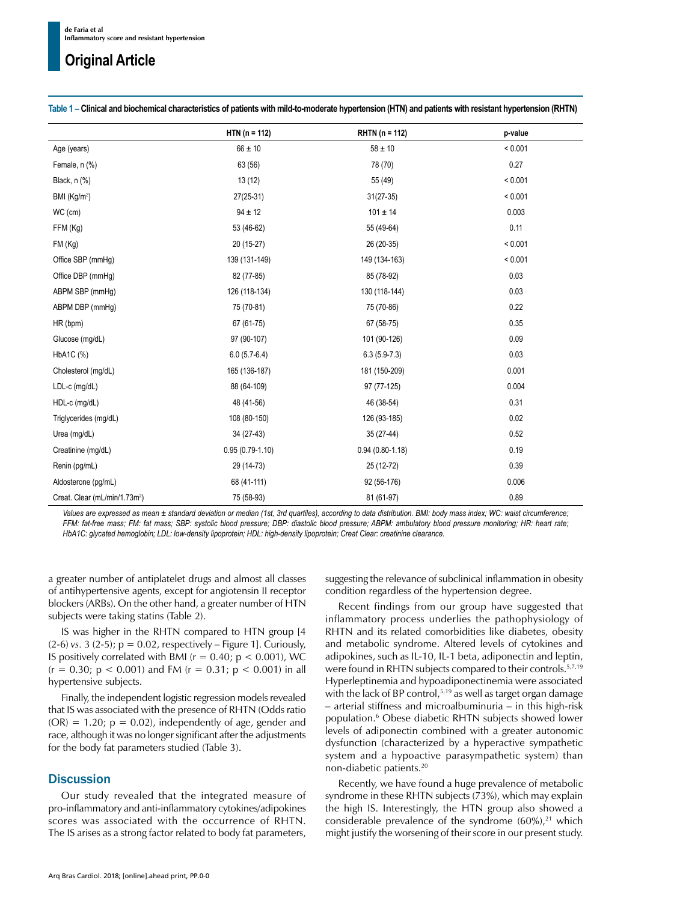**Table 1 – Clinical and biochemical characteristics of patients with mild-to-moderate hypertension (HTN) and patients with resistant hypertension (RHTN)**

|                                           | $HTN (n = 112)$   | $RHTN (n = 112)$    | p-value |
|-------------------------------------------|-------------------|---------------------|---------|
| Age (years)                               | $66 \pm 10$       | $58 \pm 10$         | < 0.001 |
| Female, n (%)                             | 63 (56)           | 78 (70)             | 0.27    |
| Black, n (%)                              | 13(12)            | 55 (49)             | < 0.001 |
| BMI (Kg/m <sup>2</sup> )                  | $27(25-31)$       | $31(27-35)$         | < 0.001 |
| WC (cm)                                   | $94 \pm 12$       | $101\pm14$          | 0.003   |
| FFM (Kg)                                  | 53 (46-62)        | 55 (49-64)          | 0.11    |
| FM (Kg)                                   | 20 (15-27)        | 26 (20-35)          | < 0.001 |
| Office SBP (mmHg)                         | 139 (131-149)     | 149 (134-163)       | < 0.001 |
| Office DBP (mmHq)                         | 82 (77-85)        | 85 (78-92)          | 0.03    |
| ABPM SBP (mmHg)                           | 126 (118-134)     | 130 (118-144)       | 0.03    |
| ABPM DBP (mmHg)                           | 75 (70-81)        | 75 (70-86)          | 0.22    |
| HR (bpm)                                  | 67 (61-75)        | 67 (58-75)          | 0.35    |
| Glucose (mg/dL)                           | 97 (90-107)       | 101 (90-126)        | 0.09    |
| HbA1C (%)                                 | $6.0(5.7-6.4)$    | $6.3(5.9-7.3)$      | 0.03    |
| Cholesterol (mg/dL)                       | 165 (136-187)     | 181 (150-209)       | 0.001   |
| LDL-c (mg/dL)                             | 88 (64-109)       | 97 (77-125)         | 0.004   |
| HDL-c (mg/dL)                             | 48 (41-56)        | 46 (38-54)          | 0.31    |
| Triglycerides (mg/dL)                     | 108 (80-150)      | 126 (93-185)        | 0.02    |
| Urea (mg/dL)                              | 34 (27-43)        | 35 (27-44)          | 0.52    |
| Creatinine (mg/dL)                        | $0.95(0.79-1.10)$ | $0.94(0.80 - 1.18)$ | 0.19    |
| Renin (pg/mL)                             | 29 (14-73)        | 25 (12-72)          | 0.39    |
| Aldosterone (pg/mL)                       | 68 (41-111)       | 92 (56-176)         | 0.006   |
| Creat. Clear (mL/min/1.73m <sup>2</sup> ) | 75 (58-93)        | 81 (61-97)          | 0.89    |

*Values are expressed as mean ± standard deviation or median (1st, 3rd quartiles), according to data distribution. BMI: body mass index; WC: waist circumference; FFM: fat-free mass; FM: fat mass; SBP: systolic blood pressure; DBP: diastolic blood pressure; ABPM: ambulatory blood pressure monitoring; HR: heart rate; HbA1C: glycated hemoglobin; LDL: low-density lipoprotein; HDL: high-density lipoprotein; Creat Clear: creatinine clearance.*

a greater number of antiplatelet drugs and almost all classes of antihypertensive agents, except for angiotensin II receptor blockers (ARBs). On the other hand, a greater number of HTN subjects were taking statins (Table 2).

IS was higher in the RHTN compared to HTN group [4  $(2-6)$  *vs.* 3  $(2-5)$ ;  $p = 0.02$ , respectively – Figure 1]. Curiously, IS positively correlated with BMI ( $r = 0.40$ ;  $p < 0.001$ ), WC  $(r = 0.30; p < 0.001)$  and FM  $(r = 0.31; p < 0.001)$  in all hypertensive subjects.

Finally, the independent logistic regression models revealed that IS was associated with the presence of RHTN (Odds ratio  $(OR) = 1.20$ ;  $p = 0.02$ ), independently of age, gender and race, although it was no longer significant after the adjustments for the body fat parameters studied (Table 3).

### **Discussion**

Our study revealed that the integrated measure of pro-inflammatory and anti-inflammatory cytokines/adipokines scores was associated with the occurrence of RHTN. The IS arises as a strong factor related to body fat parameters, suggesting the relevance of subclinical inflammation in obesity condition regardless of the hypertension degree.

Recent findings from our group have suggested that inflammatory process underlies the pathophysiology of RHTN and its related comorbidities like diabetes, obesity and metabolic syndrome. Altered levels of cytokines and adipokines, such as IL-10, IL-1 beta, adiponectin and leptin, were found in RHTN subjects compared to their controls.<sup>5,7,19</sup> Hyperleptinemia and hypoadiponectinemia were associated with the lack of BP control,  $5,19$  as well as target organ damage – arterial stiffness and microalbuminuria – in this high-risk population.6 Obese diabetic RHTN subjects showed lower levels of adiponectin combined with a greater autonomic dysfunction (characterized by a hyperactive sympathetic system and a hypoactive parasympathetic system) than non-diabetic patients.20

Recently, we have found a huge prevalence of metabolic syndrome in these RHTN subjects (73%), which may explain the high IS. Interestingly, the HTN group also showed a considerable prevalence of the syndrome  $(60\%)$ ,<sup>21</sup> which might justify the worsening of their score in our present study.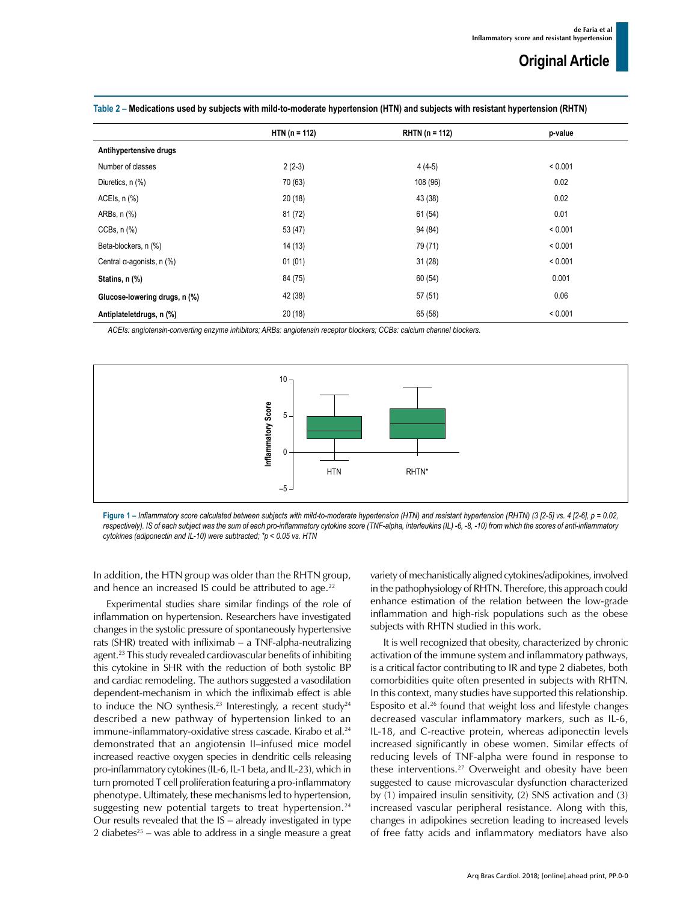|                               | $HTN (n = 112)$ | $RHTN (n = 112)$ | p-value |
|-------------------------------|-----------------|------------------|---------|
| Antihypertensive drugs        |                 |                  |         |
| Number of classes             | $2(2-3)$        | $4(4-5)$         | < 0.001 |
| Diuretics, n (%)              | 70 (63)         | 108 (96)         | 0.02    |
| ACEIs, $n$ $%$                | 20(18)          | 43 (38)          | 0.02    |
| ARBs, n (%)                   | 81 (72)         | 61(54)           | 0.01    |
| $CCBs$ , n $(\%)$             | 53 (47)         | 94 (84)          | < 0.001 |
| Beta-blockers, n (%)          | 14 (13)         | 79 (71)          | < 0.001 |
| Central a-agonists, n (%)     | 01(01)          | 31(28)           | < 0.001 |
| Statins, n (%)                | 84 (75)         | 60(54)           | 0.001   |
| Glucose-lowering drugs, n (%) | 42 (38)         | 57 (51)          | 0.06    |
| Antiplateletdrugs, n (%)      | 20(18)          | 65 (58)          | < 0.001 |

#### **Table 2 – Medications used by subjects with mild-to-moderate hypertension (HTN) and subjects with resistant hypertension (RHTN)**

*ACEIs: angiotensin-converting enzyme inhibitors; ARBs: angiotensin receptor blockers; CCBs: calcium channel blockers.*



Figure 1 – Inflammatory score calculated between subjects with mild-to-moderate hypertension (HTN) and resistant hypertension (RHTN) (3 [2-5] vs. 4 [2-6], p = 0.02, respectively). IS of each subject was the sum of each pro-inflammatory cytokine score (TNF-alpha, interleukins (IL) -6, -8, -10) from which the scores of anti-inflammatory *cytokines (adiponectin and IL-10) were subtracted; \*p < 0.05 vs. HTN*

In addition, the HTN group was older than the RHTN group, and hence an increased IS could be attributed to age.<sup>22</sup>

Experimental studies share similar findings of the role of inflammation on hypertension. Researchers have investigated changes in the systolic pressure of spontaneously hypertensive rats (SHR) treated with infliximab – a TNF-alpha-neutralizing agent.23 This study revealed cardiovascular benefits of inhibiting this cytokine in SHR with the reduction of both systolic BP and cardiac remodeling. The authors suggested a vasodilation dependent-mechanism in which the infliximab effect is able to induce the NO synthesis.<sup>23</sup> Interestingly, a recent study<sup>24</sup> described a new pathway of hypertension linked to an immune-inflammatory-oxidative stress cascade. Kirabo et al.24 demonstrated that an angiotensin II–infused mice model increased reactive oxygen species in dendritic cells releasing pro-inflammatory cytokines (IL-6, IL-1 beta, and IL-23), which in turn promoted T cell proliferation featuring a pro-inflammatory phenotype. Ultimately, these mechanisms led to hypertension, suggesting new potential targets to treat hypertension.<sup>24</sup> Our results revealed that the IS – already investigated in type 2 diabetes $25 -$  was able to address in a single measure a great variety of mechanistically aligned cytokines/adipokines, involved in the pathophysiology of RHTN. Therefore, this approach could enhance estimation of the relation between the low-grade inflammation and high-risk populations such as the obese subjects with RHTN studied in this work.

It is well recognized that obesity, characterized by chronic activation of the immune system and inflammatory pathways, is a critical factor contributing to IR and type 2 diabetes, both comorbidities quite often presented in subjects with RHTN. In this context, many studies have supported this relationship. Esposito et al.26 found that weight loss and lifestyle changes decreased vascular inflammatory markers, such as IL-6, IL-18, and C-reactive protein, whereas adiponectin levels increased significantly in obese women. Similar effects of reducing levels of TNF-alpha were found in response to these interventions.<sup>27</sup> Overweight and obesity have been suggested to cause microvascular dysfunction characterized by (1) impaired insulin sensitivity, (2) SNS activation and (3) increased vascular peripheral resistance. Along with this, changes in adipokines secretion leading to increased levels of free fatty acids and inflammatory mediators have also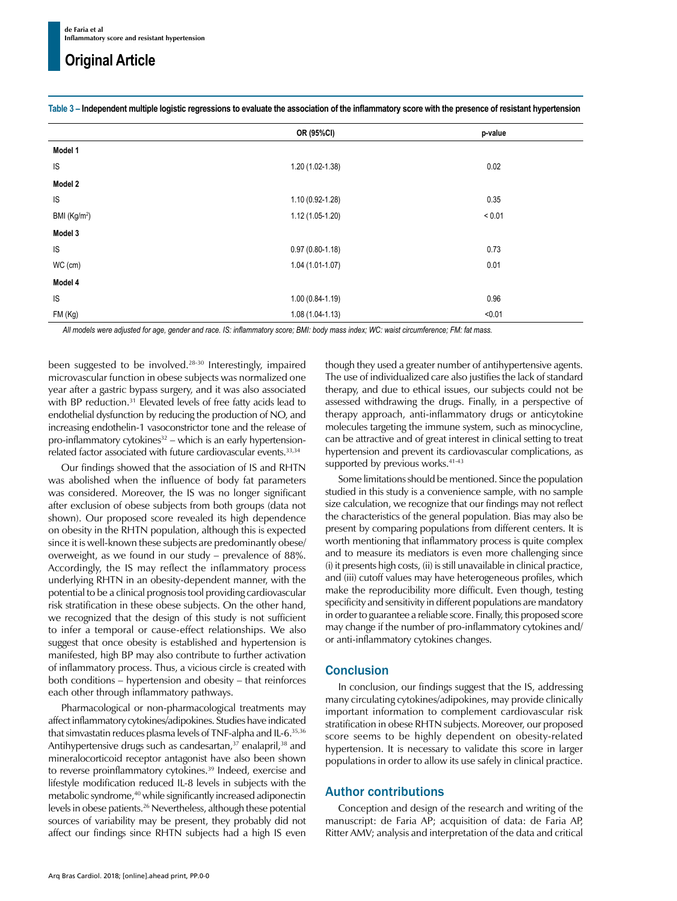|                          | OR (95%CI)          | p-value |
|--------------------------|---------------------|---------|
| Model 1                  |                     |         |
| IS                       | 1.20 (1.02-1.38)    | 0.02    |
| Model 2                  |                     |         |
| IS                       | 1.10 (0.92-1.28)    | 0.35    |
| BMI (Kg/m <sup>2</sup> ) | $1.12(1.05-1.20)$   | < 0.01  |
| Model 3                  |                     |         |
| IS                       | $0.97(0.80 - 1.18)$ | 0.73    |
| WC (cm)                  | $1.04(1.01-1.07)$   | 0.01    |
| Model 4                  |                     |         |
| IS                       | $1.00(0.84-1.19)$   | 0.96    |
| FM (Kg)                  | $1.08(1.04-1.13)$   | < 0.01  |

**Table 3 – Independent multiple logistic regressions to evaluate the association of the inflammatory score with the presence of resistant hypertension**

*All models were adjusted for age, gender and race. IS: inflammatory score; BMI: body mass index; WC: waist circumference; FM: fat mass.*

been suggested to be involved.28-30 Interestingly, impaired microvascular function in obese subjects was normalized one year after a gastric bypass surgery, and it was also associated with BP reduction.<sup>31</sup> Elevated levels of free fatty acids lead to endothelial dysfunction by reducing the production of NO, and increasing endothelin-1 vasoconstrictor tone and the release of pro-inflammatory cytokines $32$  – which is an early hypertensionrelated factor associated with future cardiovascular events.<sup>33,34</sup>

Our findings showed that the association of IS and RHTN was abolished when the influence of body fat parameters was considered. Moreover, the IS was no longer significant after exclusion of obese subjects from both groups (data not shown). Our proposed score revealed its high dependence on obesity in the RHTN population, although this is expected since it is well-known these subjects are predominantly obese/ overweight, as we found in our study – prevalence of 88%. Accordingly, the IS may reflect the inflammatory process underlying RHTN in an obesity-dependent manner, with the potential to be a clinical prognosis tool providing cardiovascular risk stratification in these obese subjects. On the other hand, we recognized that the design of this study is not sufficient to infer a temporal or cause-effect relationships. We also suggest that once obesity is established and hypertension is manifested, high BP may also contribute to further activation of inflammatory process. Thus, a vicious circle is created with both conditions – hypertension and obesity – that reinforces each other through inflammatory pathways.

Pharmacological or non-pharmacological treatments may affect inflammatory cytokines/adipokines. Studies have indicated that simvastatin reduces plasma levels of TNF-alpha and IL-6.35,36 Antihypertensive drugs such as candesartan,<sup>37</sup> enalapril,<sup>38</sup> and mineralocorticoid receptor antagonist have also been shown to reverse proinflammatory cytokines.<sup>39</sup> Indeed, exercise and lifestyle modification reduced IL-8 levels in subjects with the metabolic syndrome,<sup>40</sup> while significantly increased adiponectin levels in obese patients.26 Nevertheless, although these potential sources of variability may be present, they probably did not affect our findings since RHTN subjects had a high IS even though they used a greater number of antihypertensive agents. The use of individualized care also justifies the lack of standard therapy, and due to ethical issues, our subjects could not be assessed withdrawing the drugs. Finally, in a perspective of therapy approach, anti-inflammatory drugs or anticytokine molecules targeting the immune system, such as minocycline, can be attractive and of great interest in clinical setting to treat hypertension and prevent its cardiovascular complications, as supported by previous works.<sup>41-43</sup>

Some limitations should be mentioned. Since the population studied in this study is a convenience sample, with no sample size calculation, we recognize that our findings may not reflect the characteristics of the general population. Bias may also be present by comparing populations from different centers. It is worth mentioning that inflammatory process is quite complex and to measure its mediators is even more challenging since (i) it presents high costs, (ii) is still unavailable in clinical practice, and (iii) cutoff values may have heterogeneous profiles, which make the reproducibility more difficult. Even though, testing specificity and sensitivity in different populations are mandatory in order to guarantee a reliable score. Finally, this proposed score may change if the number of pro-inflammatory cytokines and/ or anti-inflammatory cytokines changes.

## **Conclusion**

In conclusion, our findings suggest that the IS, addressing many circulating cytokines/adipokines, may provide clinically important information to complement cardiovascular risk stratification in obese RHTN subjects. Moreover, our proposed score seems to be highly dependent on obesity-related hypertension. It is necessary to validate this score in larger populations in order to allow its use safely in clinical practice.

## Author contributions

Conception and design of the research and writing of the manuscript: de Faria AP; acquisition of data: de Faria AP, Ritter AMV; analysis and interpretation of the data and critical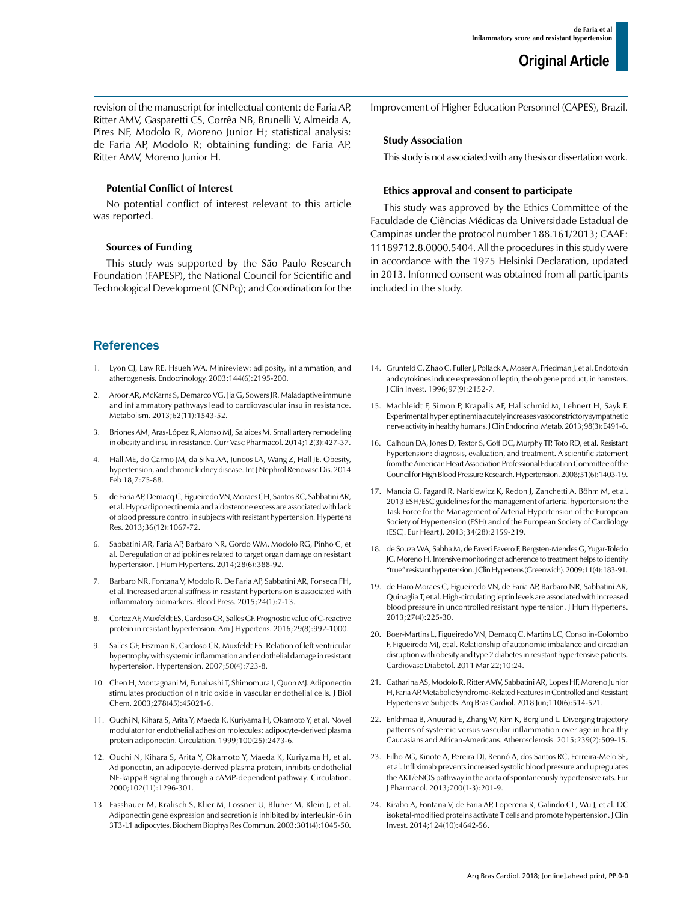revision of the manuscript for intellectual content: de Faria AP, Ritter AMV, Gasparetti CS, Corrêa NB, Brunelli V, Almeida A, Pires NF, Modolo R, Moreno Junior H; statistical analysis: de Faria AP, Modolo R; obtaining funding: de Faria AP, Ritter AMV, Moreno Junior H.

## **Potential Conflict of Interest**

No potential conflict of interest relevant to this article was reported.

## **Sources of Funding**

This study was supported by the São Paulo Research Foundation (FAPESP), the National Council for Scientific and Technological Development (CNPq); and Coordination for the

# References

- 1. Lyon CJ, Law RE, Hsueh WA. Minireview: adiposity, inflammation, and atherogenesis*.* Endocrinology. 2003;144(6):2195-200.
- Aroor AR, McKarns S, Demarco VG, Jia G, Sowers JR. Maladaptive immune and inflammatory pathways lead to cardiovascular insulin resistance. Metabolism. 2013;62(11):1543-52.
- 3. Briones AM, Aras-López R, Alonso MJ, Salaices M. Small artery remodeling in obesity and insulin resistance. Curr Vasc Pharmacol. 2014;12(3):427-37.
- 4. Hall ME, do Carmo JM, da Silva AA, Juncos LA, Wang Z, Hall JE. Obesity, hypertension, and chronic kidney disease*.* Int J Nephrol Renovasc Dis. 2014 Feb 18;7:75-88.
- 5. de Faria AP, Demacq C, Figueiredo VN, Moraes CH, Santos RC, Sabbatini AR, et al. Hypoadiponectinemia and aldosterone excess are associated with lack of blood pressure control in subjects with resistant hypertension*.* Hypertens Res. 2013;36(12):1067-72.
- 6. Sabbatini AR, Faria AP, Barbaro NR, Gordo WM, Modolo RG, Pinho C, et al. Deregulation of adipokines related to target organ damage on resistant hypertension*.* J Hum Hypertens. 2014;28(6):388-92.
- 7. Barbaro NR, Fontana V, Modolo R, De Faria AP, Sabbatini AR, Fonseca FH, et al. Increased arterial stiffness in resistant hypertension is associated with inflammatory biomarkers. Blood Press. 2015;24(1):7-13.
- 8. Cortez AF, Muxfeldt ES, Cardoso CR, Salles GF. Prognostic value of C-reactive protein in resistant hypertension*.* Am J Hypertens. 2016;29(8):992-1000.
- Salles GF, Fiszman R, Cardoso CR, Muxfeldt ES. Relation of left ventricular hypertrophy with systemic inflammation and endothelial damage in resistant hypertension*.* Hypertension. 2007;50(4):723-8.
- 10. Chen H, Montagnani M, Funahashi T, Shimomura I, Quon MJ. Adiponectin stimulates production of nitric oxide in vascular endothelial cells*.* J Biol Chem. 2003;278(45):45021-6.
- 11. Ouchi N, Kihara S, Arita Y, Maeda K, Kuriyama H, Okamoto Y, et al. Novel modulator for endothelial adhesion molecules: adipocyte-derived plasma protein adiponectin. Circulation. 1999;100(25):2473-6.
- 12. Ouchi N, Kihara S, Arita Y, Okamoto Y, Maeda K, Kuriyama H, et al. Adiponectin, an adipocyte-derived plasma protein, inhibits endothelial NF-kappaB signaling through a cAMP-dependent pathway*.* Circulation. 2000;102(11):1296-301.
- 13. Fasshauer M, Kralisch S, Klier M, Lossner U, Bluher M, Klein J, et al. Adiponectin gene expression and secretion is inhibited by interleukin-6 in 3T3-L1 adipocytes. Biochem Biophys Res Commun. 2003;301(4):1045-50.

Improvement of Higher Education Personnel (CAPES), Brazil.

## **Study Association**

This study is not associated with any thesis or dissertation work.

## **Ethics approval and consent to participate**

This study was approved by the Ethics Committee of the Faculdade de Ciências Médicas da Universidade Estadual de Campinas under the protocol number 188.161/2013; CAAE: 11189712.8.0000.5404. All the procedures in this study were in accordance with the 1975 Helsinki Declaration, updated in 2013. Informed consent was obtained from all participants included in the study.

- 14. Grunfeld C, Zhao C, Fuller J, Pollack A, Moser A, Friedman J, et al. Endotoxin and cytokines induce expression of leptin, the ob gene product, in hamsters. J Clin Invest. 1996;97(9):2152-7.
- 15. Machleidt F, Simon P, Krapalis AF, Hallschmid M, Lehnert H, Sayk F. Experimental hyperleptinemia acutely increases vasoconstrictory sympathetic nerve activity in healthy humans. J Clin Endocrinol Metab. 2013;98(3):E491-6.
- 16. Calhoun DA, Jones D, Textor S, Goff DC, Murphy TP, Toto RD, et al. Resistant hypertension: diagnosis, evaluation, and treatment. A scientific statement from the American Heart Association Professional Education Committee of the Council for High Blood Pressure Research. Hypertension. 2008;51(6):1403-19.
- 17. Mancia G, Fagard R, Narkiewicz K, Redon J, Zanchetti A, Böhm M, et al. 2013 ESH/ESC guidelines for the management of arterial hypertension: the Task Force for the Management of Arterial Hypertension of the European Society of Hypertension (ESH) and of the European Society of Cardiology (ESC). Eur Heart J. 2013;34(28):2159-219.
- 18. de Souza WA, Sabha M, de Faveri Favero F, Bergsten-Mendes G, Yugar-Toledo JC, Moreno H. Intensive monitoring of adherence to treatment helps to identify "true" resistant hypertension. J Clin Hypertens (Greenwich). 2009;11(4):183-91.
- 19. de Haro Moraes C, Figueiredo VN, de Faria AP, Barbaro NR, Sabbatini AR, Quinaglia T, et al. High-circulating leptin levels are associated with increased blood pressure in uncontrolled resistant hypertension. J Hum Hypertens. 2013;27(4):225-30.
- 20. Boer-Martins L, Figueiredo VN, Demacq C, Martins LC, Consolin-Colombo F, Figueiredo MJ, et al. Relationship of autonomic imbalance and circadian disruption with obesity and type 2 diabetes in resistant hypertensive patients. Cardiovasc Diabetol. 2011 Mar 22;10:24.
- 21. Catharina AS, Modolo R, Ritter AMV, Sabbatini AR, Lopes HF, Moreno Junior H, Faria AP. Metabolic Syndrome-Related Features in Controlled and Resistant Hypertensive Subjects. Arq Bras Cardiol. 2018 Jun;110(6):514-521.
- 22. Enkhmaa B, Anuurad E, Zhang W, Kim K, Berglund L. Diverging trajectory patterns of systemic versus vascular inflammation over age in healthy Caucasians and African-Americans*.* Atherosclerosis. 2015;239(2):509-15.
- 23. Filho AG, Kinote A, Pereira DJ, Rennó A, dos Santos RC, Ferreira-Melo SE, et al. Infliximab prevents increased systolic blood pressure and upregulates the AKT/eNOS pathway in the aorta of spontaneously hypertensive rats. Eur J Pharmacol. 2013;700(1-3):201-9.
- 24. Kirabo A, Fontana V, de Faria AP, Loperena R, Galindo CL, Wu J, et al. DC isoketal-modified proteins activate T cells and promote hypertension. J Clin Invest. 2014;124(10):4642-56.